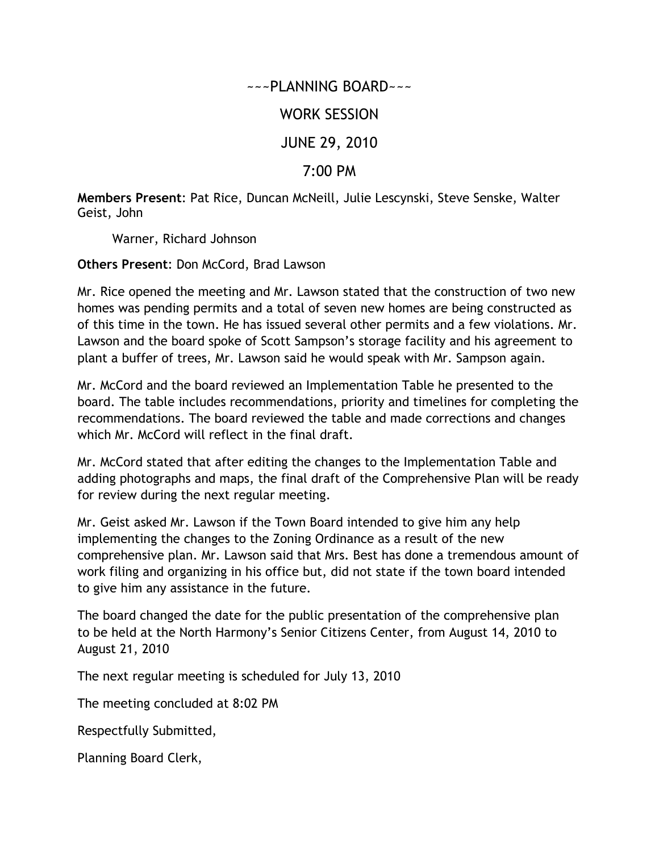~~~PLANNING BOARD~~~

## WORK SESSION

## JUNE 29, 2010

## 7:00 PM

**Members Present**: Pat Rice, Duncan McNeill, Julie Lescynski, Steve Senske, Walter Geist, John

Warner, Richard Johnson

**Others Present**: Don McCord, Brad Lawson

Mr. Rice opened the meeting and Mr. Lawson stated that the construction of two new homes was pending permits and a total of seven new homes are being constructed as of this time in the town. He has issued several other permits and a few violations. Mr. Lawson and the board spoke of Scott Sampson's storage facility and his agreement to plant a buffer of trees, Mr. Lawson said he would speak with Mr. Sampson again.

Mr. McCord and the board reviewed an Implementation Table he presented to the board. The table includes recommendations, priority and timelines for completing the recommendations. The board reviewed the table and made corrections and changes which Mr. McCord will reflect in the final draft.

Mr. McCord stated that after editing the changes to the Implementation Table and adding photographs and maps, the final draft of the Comprehensive Plan will be ready for review during the next regular meeting.

Mr. Geist asked Mr. Lawson if the Town Board intended to give him any help implementing the changes to the Zoning Ordinance as a result of the new comprehensive plan. Mr. Lawson said that Mrs. Best has done a tremendous amount of work filing and organizing in his office but, did not state if the town board intended to give him any assistance in the future.

The board changed the date for the public presentation of the comprehensive plan to be held at the North Harmony's Senior Citizens Center, from August 14, 2010 to August 21, 2010

The next regular meeting is scheduled for July 13, 2010

The meeting concluded at 8:02 PM

Respectfully Submitted,

Planning Board Clerk,